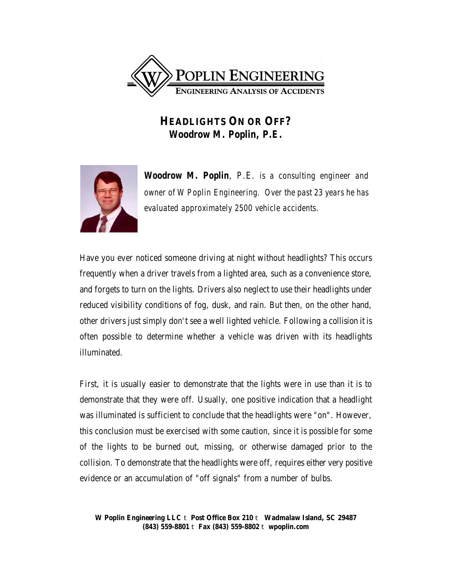

## **HEADLIGHTS ON OR OFF?**  *Woodrow M. Poplin, P.E.*



*Woodrow M. Poplin, P.E. is a consulting engineer and owner of W Poplin Engineering. Over the past 23 years he has evaluated approximately 2500 vehicle accidents.*

Have you ever noticed someone driving at night without headlights? This occurs frequently when a driver travels from a lighted area, such as a convenience store, and forgets to turn on the lights. Drivers also neglect to use their headlights under reduced visibility conditions of fog, dusk, and rain. But then, on the other hand, other drivers just simply don't see a well lighted vehicle. Following a collision it is often possible to determine whether a vehicle was driven with its headlights illuminated.

First, it is usually easier to demonstrate that the lights were in use than it is to demonstrate that they were off. Usually, one positive indication that a headlight was illuminated is sufficient to conclude that the headlights were "on". However, this conclusion must be exercised with some caution, since it is possible for some of the lights to be burned out, missing, or otherwise damaged prior to the collision. To demonstrate that the headlights were off, requires either very positive evidence or an accumulation of "off signals" from a number of bulbs.

**W Poplin Engineering LLC** t **Post Office Box 210** t **Wadmalaw Island, SC 29487 (843) 559-8801** t **Fax (843) 559-8802** t **wpoplin.com**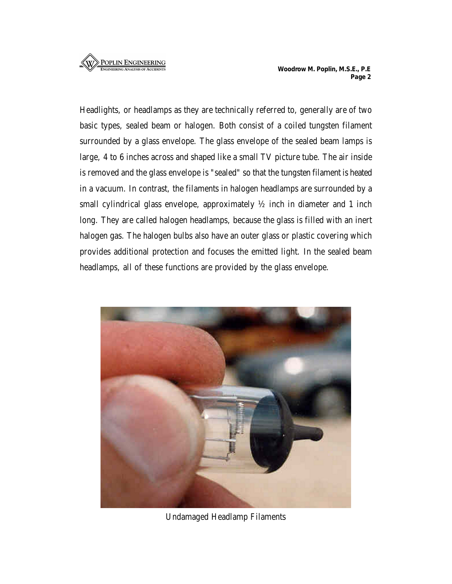## **ENGINEERING ANALYSIS OF ACCIDENT**

Headlights, or headlamps as they are technically referred to, generally are of two basic types, sealed beam or halogen. Both consist of a coiled tungsten filament surrounded by a glass envelope. The glass envelope of the sealed beam lamps is large, 4 to 6 inches across and shaped like a small TV picture tube. The air inside is removed and the glass envelope is "sealed" so that the tungsten filament is heated in a vacuum. In contrast, the filaments in halogen headlamps are surrounded by a small cylindrical glass envelope, approximately  $\frac{1}{2}$  inch in diameter and 1 inch long. They are called halogen headlamps, because the glass is filled with an inert halogen gas. The halogen bulbs also have an outer glass or plastic covering which provides additional protection and focuses the emitted light. In the sealed beam headlamps, all of these functions are provided by the glass envelope.



Undamaged Headlamp Filaments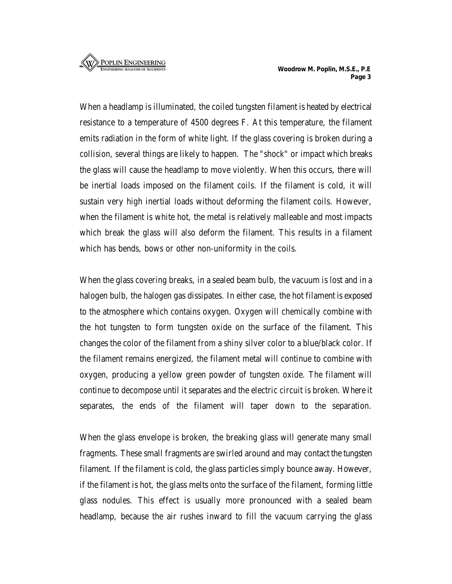When a headlamp is illuminated, the coiled tungsten filament is heated by electrical resistance to a temperature of 4500 degrees F. At this temperature, the filament emits radiation in the form of white light. If the glass covering is broken during a collision, several things are likely to happen. The "shock" or impact which breaks the glass will cause the headlamp to move violently. When this occurs, there will be inertial loads imposed on the filament coils. If the filament is cold, it will sustain very high inertial loads without deforming the filament coils. However, when the filament is white hot, the metal is relatively malleable and most impacts which break the glass will also deform the filament. This results in a filament which has bends, bows or other non-uniformity in the coils.

When the glass covering breaks, in a sealed beam bulb, the vacuum is lost and in a halogen bulb, the halogen gas dissipates. In either case, the hot filament is exposed to the atmosphere which contains oxygen. Oxygen will chemically combine with the hot tungsten to form tungsten oxide on the surface of the filament. This changes the color of the filament from a shiny silver color to a blue/black color. If the filament remains energized, the filament metal will continue to combine with oxygen, producing a yellow green powder of tungsten oxide. The filament will continue to decompose until it separates and the electric circuit is broken. Where it separates, the ends of the filament will taper down to the separation.

When the glass envelope is broken, the breaking glass will generate many small fragments. These small fragments are swirled around and may contact the tungsten filament. If the filament is cold, the glass particles simply bounce away. However, if the filament is hot, the glass melts onto the surface of the filament, forming little glass nodules. This effect is usually more pronounced with a sealed beam headlamp, because the air rushes inward to fill the vacuum carrying the glass